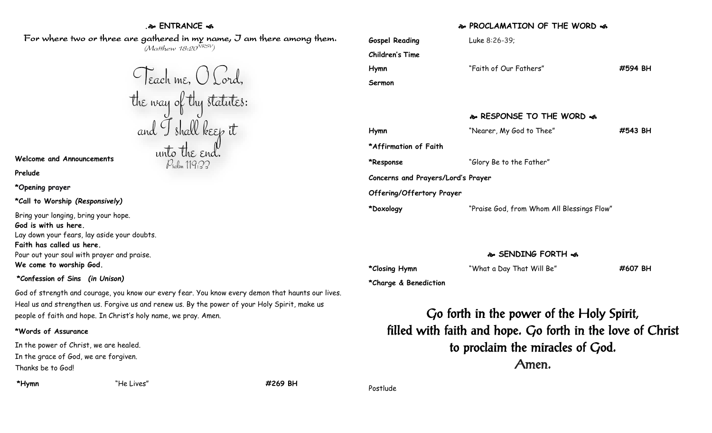## **. ENTRANCE**

For where two or three are gathered in my name, J am there among them.  $(M$ atthew 18:20 $^{VRSV})$ 

**Welcome and Announcements**

**Prelude**

**\*Opening prayer**

**\*Call to Worship** *(Responsively)*

Bring your longing, bring your hope. **God is with us here.** Lay down your fears, lay aside your doubts. **Faith has called us here.** Pour out your soul with prayer and praise. **We come to worship God.**

### **\*Confession of Sins** *(in Unison)*

God of strength and courage, you know our every fear. You know every demon that haunts our lives. Heal us and strengthen us. Forgive us and renew us. By the power of your Holy Spirit, make us people of faith and hope. In Christ's holy name, we pray. Amen.

#### **\*Words of Assurance**

In the power of Christ, we are healed. In the grace of God, we are forgiven. Thanks be to God!

**\*Hymn** "He Lives" **#269 BH**

## **PROCLAMATION OF THE WORD**

| <b>Gospel Reading</b>              | Luke 8:26-39;                              |         |
|------------------------------------|--------------------------------------------|---------|
| Children's Time                    |                                            |         |
| Hymn                               | "Faith of Our Fathers"                     | #594 BH |
| Sermon                             |                                            |         |
|                                    |                                            |         |
|                                    | � RESPONSE TO THE WORD �                   |         |
| Hymn                               | "Nearer, My God to Thee"                   | #543 BH |
| *Affirmation of Faith              |                                            |         |
| *Response                          | "Glory Be to the Father"                   |         |
| Concerns and Prayers/Lord's Prayer |                                            |         |
| Offering/Offertory Prayer          |                                            |         |
| *Doxology                          | "Praise God, from Whom All Blessings Flow" |         |

# **SENDING FORTH**

**\*Closing Hymn** "What a Day That Will Be" **#607 BH**

**\*Charge & Benediction**

Go forth in the power of the Holy Spirit, filled with faith and hope. Go forth in the love of Christ to proclaim the miracles of God. Amen.

Postlude